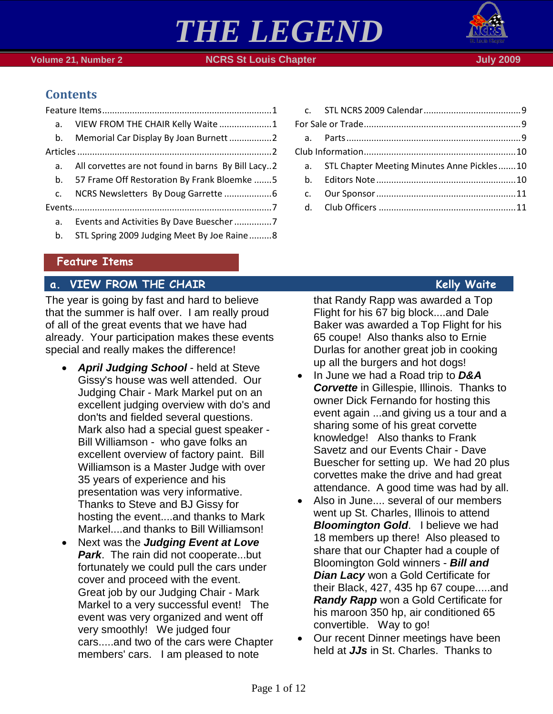



 **Volume 21, Number 2 <b>NGRS St Louis Chapter** July 2009

# **Contents**

| a <sub>z</sub> | VIEW FROM THE CHAIR Kelly Waite 1                  |
|----------------|----------------------------------------------------|
|                | b. Memorial Car Display By Joan Burnett 2          |
|                |                                                    |
| a.             | All corvettes are not found in barns By Bill Lacy2 |
| b.             | 57 Frame Off Restoration By Frank Bloemke 5        |
| $C_{\cdot}$    |                                                    |
|                |                                                    |
| a.             |                                                    |
| b.             | STL Spring 2009 Judging Meet By Joe Raine8         |
|                |                                                    |

| a. STL Chapter Meeting Minutes Anne Pickles10 |  |
|-----------------------------------------------|--|
|                                               |  |
|                                               |  |
|                                               |  |
|                                               |  |

## <span id="page-0-0"></span>**Feature Items**

# <span id="page-0-1"></span>**a. VIEW FROM THE CHAIR Kelly Waite**

The year is going by fast and hard to believe that the summer is half over. I am really proud of all of the great events that we have had already. Your participation makes these events special and really makes the difference!

- *April Judging School* held at Steve Gissy's house was well attended. Our Judging Chair - Mark Markel put on an excellent judging overview with do's and don'ts and fielded several questions. Mark also had a special guest speaker - Bill Williamson - who gave folks an excellent overview of factory paint. Bill Williamson is a Master Judge with over 35 years of experience and his presentation was very informative. Thanks to Steve and BJ Gissy for hosting the event....and thanks to Mark Markel....and thanks to Bill Williamson!
- Next was the *Judging Event at Love Park*. The rain did not cooperate...but fortunately we could pull the cars under cover and proceed with the event. Great job by our Judging Chair - Mark Markel to a very successful event! The event was very organized and went off very smoothly! We judged four cars.....and two of the cars were Chapter members' cars. I am pleased to note

that Randy Rapp was awarded a Top Flight for his 67 big block....and Dale Baker was awarded a Top Flight for his 65 coupe! Also thanks also to Ernie Durlas for another great job in cooking up all the burgers and hot dogs!

- In June we had a Road trip to *D&A Corvette* in Gillespie, Illinois. Thanks to owner Dick Fernando for hosting this event again ...and giving us a tour and a sharing some of his great corvette knowledge! Also thanks to Frank Savetz and our Events Chair - Dave Buescher for setting up. We had 20 plus corvettes make the drive and had great attendance. A good time was had by all.
- Also in June.... several of our members went up St. Charles, Illinois to attend **Bloomington Gold.** I believe we had 18 members up there! Also pleased to share that our Chapter had a couple of Bloomington Gold winners - *Bill and Dian Lacy* won a Gold Certificate for their Black, 427, 435 hp 67 coupe.....and *Randy Rapp* won a Gold Certificate for his maroon 350 hp, air conditioned 65 convertible. Way to go!
- Our recent Dinner meetings have been held at *JJs* in St. Charles. Thanks to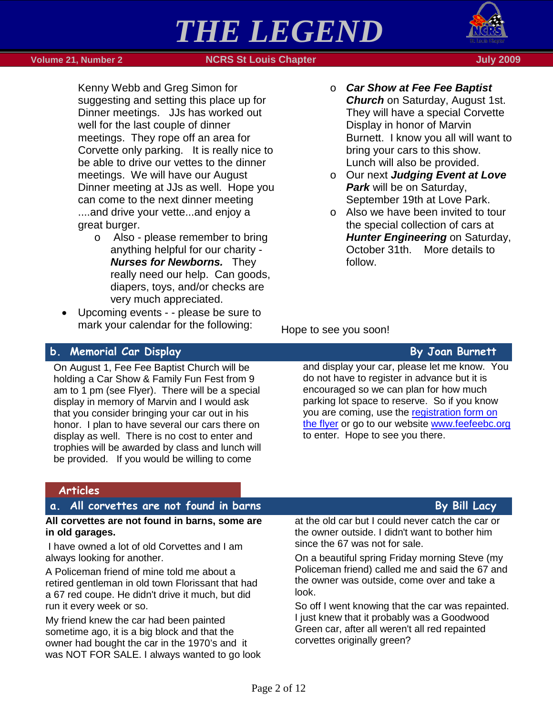

 **Volume 21, Number 2 <b>NGRS St Louis Chapter** July 2009

Kenny Webb and Greg Simon for suggesting and setting this place up for Dinner meetings. JJs has worked out well for the last couple of dinner meetings. They rope off an area for Corvette only parking. It is really nice to be able to drive our vettes to the dinner meetings. We will have our August Dinner meeting at JJs as well. Hope you can come to the next dinner meeting ....and drive your vette...and enjoy a great burger.

- o Also please remember to bring anything helpful for our charity - *Nurses for Newborns.* They really need our help. Can goods, diapers, toys, and/or checks are very much appreciated.
- Upcoming events - please be sure to mark your calendar for the following:
- o *Car Show at Fee Fee Baptist Church* on Saturday, August 1st. They will have a special Corvette Display in honor of Marvin Burnett. I know you all will want to bring your cars to this show. Lunch will also be provided.
- o Our next *Judging Event at Love Park* will be on Saturday, September 19th at Love Park.
- o Also we have been invited to tour the special collection of cars at *Hunter Engineering* on Saturday, October 31th. More details to follow.

Hope to see you soon!

corvettes originally green?

## <span id="page-1-0"></span>**b. Memorial Car Display By Joan Burnett**

On August 1, Fee Fee Baptist Church will be holding a Car Show & Family Fun Fest from 9 am to 1 pm (see Flyer). There will be a special display in memory of Marvin and I would ask that you consider bringing your car out in his honor. I plan to have several our cars there on display as well. There is no cost to enter and trophies will be awarded by class and lunch will be provided. If you would be willing to come

owner had bought the car in the 1970's and it was NOT FOR SALE. I always wanted to go look

and display your car, please let me know. You do not have to register in advance but it is encouraged so we can plan for how much parking lot space to reserve. So if you know you are coming, use the registration form on the flyer or go to our website [www.feefeebc.org](http://www.feefeebc.org/) to enter. Hope to see you there.

### <span id="page-1-2"></span><span id="page-1-1"></span>**All corvettes are not found in barns, some are in old garages.** I have owned a lot of old Corvettes and I am always looking for another. A Policeman friend of mine told me about a retired gentleman in old town Florissant that had a 67 red coupe. He didn't drive it much, but did run it every week or so. My friend knew the car had been painted sometime ago, it is a big block and that the at the old car but I could never catch the car or the owner outside. I didn't want to bother him since the 67 was not for sale. On a beautiful spring Friday morning Steve (my Policeman friend) called me and said the 67 and the owner was outside, come over and take a look. So off I went knowing that the car was repainted. I just knew that it probably was a Goodwood Green car, after all weren't all red repainted **Articles a.** All corvettes are not found in barns **By Bill Lacy**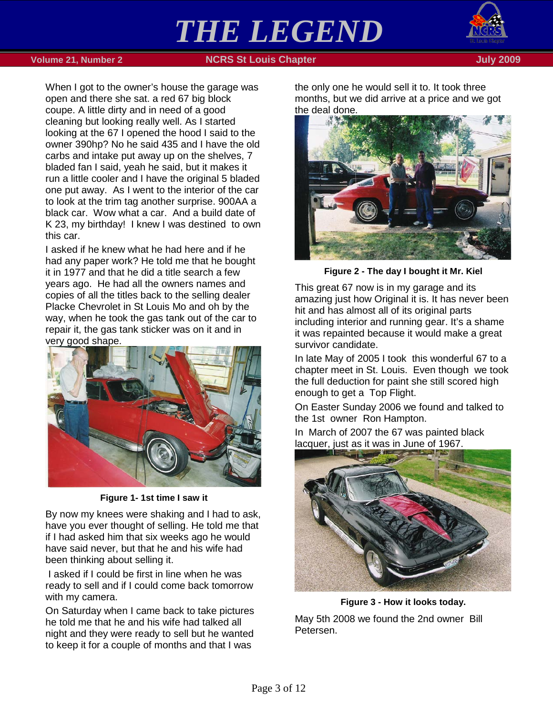

 **1990 - Volume 21, Number 2 NGRS St Louis Chapter July 2009** - St Louis Chapter July 2009

When I got to the owner's house the garage was open and there she sat. a red 67 big block coupe. A little dirty and in need of a good cleaning but looking really well. As I started looking at the 67 I opened the hood I said to the owner 390hp? No he said 435 and I have the old carbs and intake put away up on the shelves, 7 bladed fan I said, yeah he said, but it makes it run a little cooler and I have the original 5 bladed one put away. As I went to the interior of the car to look at the trim tag another surprise. 900AA a black car. Wow what a car. And a build date of K 23, my birthday! I knew I was destined to own this car.

I asked if he knew what he had here and if he had any paper work? He told me that he bought it in 1977 and that he did a title search a few years ago. He had all the owners names and copies of all the titles back to the selling dealer Placke Chevrolet in St Louis Mo and oh by the way, when he took the gas tank out of the car to repair it, the gas tank sticker was on it and in very good shape.



**Figure 1- 1st time I saw it**

By now my knees were shaking and I had to ask, have you ever thought of selling. He told me that if I had asked him that six weeks ago he would have said never, but that he and his wife had been thinking about selling it.

I asked if I could be first in line when he was ready to sell and if I could come back tomorrow with my camera.

On Saturday when I came back to take pictures he told me that he and his wife had talked all night and they were ready to sell but he wanted to keep it for a couple of months and that I was

the only one he would sell it to. It took three months, but we did arrive at a price and we got the deal done.



**Figure 2 - The day I bought it Mr. Kiel**

This great 67 now is in my garage and its amazing just how Original it is. It has never been hit and has almost all of its original parts including interior and running gear. It's a shame it was repainted because it would make a great survivor candidate.

In late May of 2005 I took this wonderful 67 to a chapter meet in St. Louis. Even though we took the full deduction for paint she still scored high enough to get a Top Flight.

On Easter Sunday 2006 we found and talked to the 1st owner Ron Hampton.

In March of 2007 the 67 was painted black lacquer, just as it was in June of 1967.



**Figure 3 - How it looks today.** May 5th 2008 we found the 2nd owner Bill Petersen.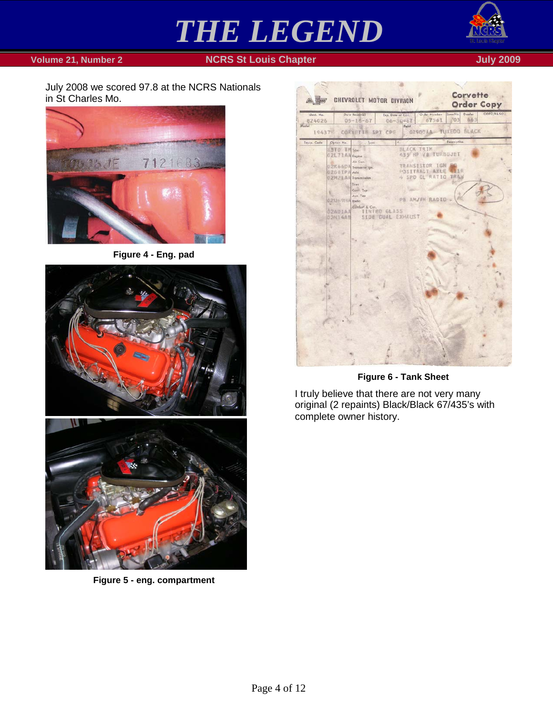

 **Volume 21, Number 2 NCRS St Louis Chapter July 2009** 

July 2008 we scored 97.8 at the NCRS Nationals in St Charles Mo.



**Figure 4 - Eng. pad**



**Figure 5 - eng. compartment**

| An Indian            | CHEVROLET MOTOR DIVISION                      |                                          |                                         | <b>Corvette</b><br><b>Order Copy</b> |           |
|----------------------|-----------------------------------------------|------------------------------------------|-----------------------------------------|--------------------------------------|-----------|
| ident. No.<br>824026 | Date Received<br>$05 - 18 - 67$               | Exp. Date of Prod.<br>$06 - 50 - 67$     | Order Number Zone No.<br>67561          | Dealer<br>03<br>863                  | COFO/F&SO |
| Model<br>19437%      | CORNETTE SPT CPE                              | Paint                                    |                                         | 02900AA TUXEDO BLACK                 |           |
| Equip. Code          | Option No.<br>Type                            | <b>BLACK TRIM</b>                        |                                         | Description                          |           |
|                      | SSTU TM Trim-<br>02L71AA Engine               |                                          | <b>435 HP VB TURBOJET</b>               |                                      |           |
|                      | Air Con.                                      |                                          |                                         |                                      |           |
|                      | <b>Q2K66DA</b> Transaror Ign.<br>02GBIPA Axle |                                          | TRANSISIOR IGN<br><b>POSITRACT AXLE</b> | <b>VIIR</b>                          |           |
|                      | 02片2王点点 Transmission                          |                                          | 4 SPD CL RATIO TRAM                     |                                      |           |
|                      | Tires                                         |                                          |                                         |                                      |           |
|                      | Conv. Top<br>Анк. Тор                         |                                          |                                         |                                      |           |
|                      | 0.2 U6.9 HA Rodio                             |                                          | AM/FH RADIO                             |                                      |           |
|                      | Comfort & Con.                                |                                          |                                         |                                      |           |
|                      | <b>SZADIAA</b><br>02N14AB                     | <b>TINTED GLASS</b><br>SIDE CUAL EXHAUST |                                         |                                      |           |
|                      |                                               |                                          |                                         |                                      |           |
|                      |                                               |                                          |                                         |                                      |           |
|                      |                                               |                                          |                                         |                                      |           |
|                      |                                               |                                          |                                         |                                      |           |
|                      |                                               |                                          |                                         |                                      |           |
|                      |                                               |                                          |                                         |                                      |           |
|                      |                                               |                                          |                                         |                                      |           |
|                      |                                               |                                          |                                         |                                      |           |
|                      |                                               |                                          |                                         |                                      |           |
|                      |                                               |                                          |                                         |                                      |           |
|                      |                                               |                                          |                                         |                                      |           |
|                      |                                               |                                          |                                         |                                      |           |
|                      |                                               |                                          |                                         |                                      |           |
|                      |                                               |                                          |                                         |                                      |           |
|                      |                                               |                                          |                                         |                                      |           |
|                      |                                               |                                          |                                         |                                      |           |
|                      |                                               |                                          |                                         |                                      |           |
|                      |                                               |                                          |                                         |                                      |           |
|                      |                                               |                                          |                                         |                                      |           |
|                      |                                               |                                          |                                         |                                      |           |

**Figure 6 - Tank Sheet**

I truly believe that there are not very many original (2 repaints) Black/Black 67/435's with complete owner history.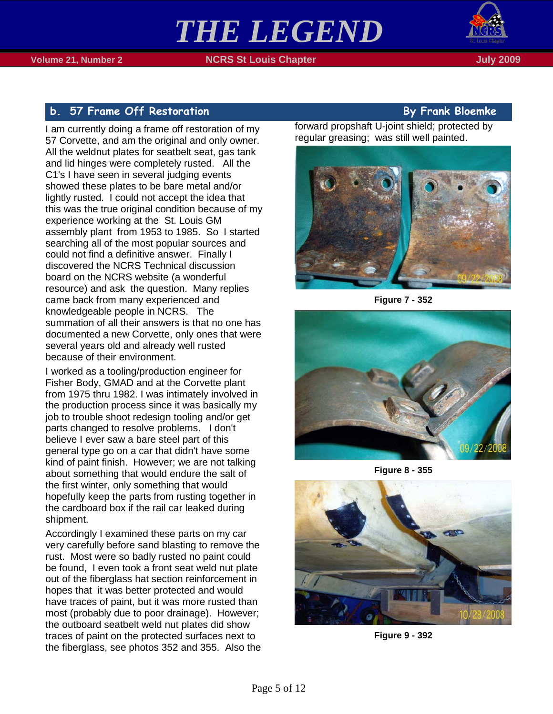

# <span id="page-4-0"></span>**b. 57 Frame Off Restoration By Frank Bloemke**

I am currently doing a frame off restoration of my 57 Corvette, and am the original and only owner. All the weldnut plates for seatbelt seat, gas tank and lid hinges were completely rusted. All the C1's I have seen in several judging events showed these plates to be bare metal and/or lightly rusted. I could not accept the idea that this was the true original condition because of my experience working at the St. Louis GM assembly plant from 1953 to 1985. So I started searching all of the most popular sources and could not find a definitive answer. Finally I discovered the NCRS Technical discussion board on the NCRS website (a wonderful resource) and ask the question. Many replies came back from many experienced and knowledgeable people in NCRS. The summation of all their answers is that no one has documented a new Corvette, only ones that were several years old and already well rusted because of their environment.

I worked as a tooling/production engineer for Fisher Body, GMAD and at the Corvette plant from 1975 thru 1982. I was intimately involved in the production process since it was basically my job to trouble shoot redesign tooling and/or get parts changed to resolve problems. I don't believe I ever saw a bare steel part of this general type go on a car that didn't have some kind of paint finish. However; we are not talking about something that would endure the salt of the first winter, only something that would hopefully keep the parts from rusting together in the cardboard box if the rail car leaked during shipment.

Accordingly I examined these parts on my car very carefully before sand blasting to remove the rust. Most were so badly rusted no paint could be found, I even took a front seat weld nut plate out of the fiberglass hat section reinforcement in hopes that it was better protected and would have traces of paint, but it was more rusted than most (probably due to poor drainage). However; the outboard seatbelt weld nut plates did show traces of paint on the protected surfaces next to the fiberglass, see photos 352 and 355. Also the

forward propshaft U-joint shield; protected by regular greasing; was still well painted.



**Figure 7 - 352**



**Figure 8 - 355**



**Figure 9 - 392**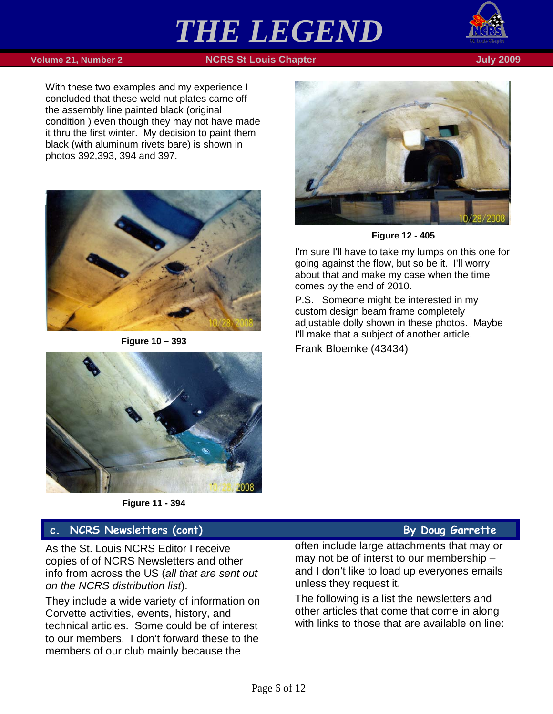

### **Volume 21, Number 2 NCRS St Louis Chapter July 2009**

With these two examples and my experience I concluded that these weld nut plates came off the assembly line painted black (original condition ) even though they may not have made it thru the first winter. My decision to paint them black (with aluminum rivets bare) is shown in photos 392,393, 394 and 397.



**Figure 10 – 393**





**Figure 12 - 405**

I'm sure I'll have to take my lumps on this one for going against the flow, but so be it. I'll worry about that and make my case when the time comes by the end of 2010.

P.S. Someone might be interested in my custom design beam frame completely adjustable dolly shown in these photos. Maybe I'll make that a subject of another article.

Frank Bloemke (43434)

**Figure 11 - 394**

# <span id="page-5-0"></span>**c. NCRS Newsletters (cont) By Doug Garrette**

As the St. Louis NCRS Editor I receive copies of of NCRS Newsletters and other info from across the US (*all that are sent out on the NCRS distribution list*).

They include a wide variety of information on Corvette activities, events, history, and technical articles. Some could be of interest to our members. I don't forward these to the members of our club mainly because the

often include large attachments that may or may not be of interst to our membership – and I don't like to load up everyones emails unless they request it.

The following is a list the newsletters and other articles that come that come in along with links to those that are available on line: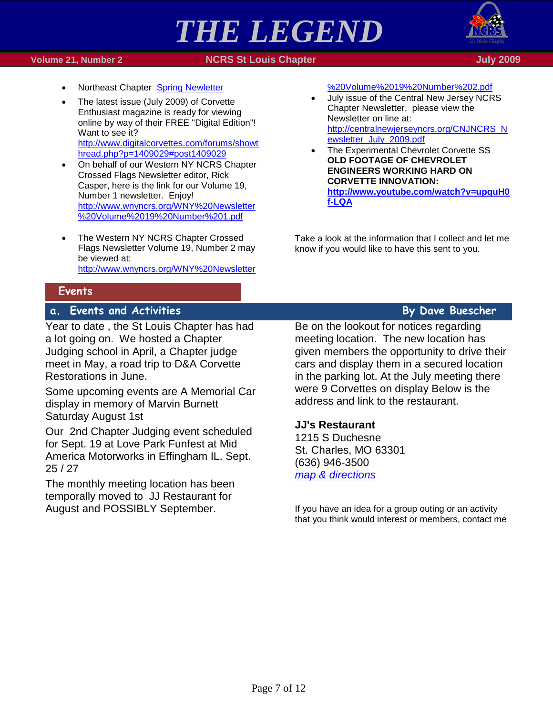

### **1990 - Volume 21, Number 2 NGRS St Louis Chapter July 2009** - St Louis Chapter July 2009



- Northeast Chapter [Spring Newletter](http://ssomail.charter.net/do/redirect?url=http%253A%252F%252Fncrs.org%252Fne%252FSPRING_2009.pdf)
- The latest issue (July 2009) of Corvette Enthusiast magazine is ready for viewing online by way of their FREE "Digital Edition"! Want to see it? [http://www.digitalcorvettes.com/forums/showt](http://www.digitalcorvettes.com/forums/showthread.php?p=1409029#post1409029) [hread.php?p=1409029#post1409029](http://www.digitalcorvettes.com/forums/showthread.php?p=1409029#post1409029)
- On behalf of our Western NY NCRS Chapter Crossed Flags Newsletter editor, Rick Casper, here is the link for our Volume 19, Number 1 newsletter. Enjoy! [http://www.wnyncrs.org/WNY%20Newsletter](http://www.wnyncrs.org/WNY%20Newsletter%20Volume%2019%20Number%201.pdf) [%20Volume%2019%20Number%201.pdf](http://www.wnyncrs.org/WNY%20Newsletter%20Volume%2019%20Number%201.pdf)
- The Western NY NCRS Chapter Crossed Flags Newsletter Volume 19, Number 2 may be viewed at: [http://www.wnyncrs.org/WNY%20Newsletter](http://ssomail.charter.net/do/redirect?url=http%253A%252F%252Fwww.wnyncrs.org%252FWNY%252520Newsletter%252520Volume%25252019%252520Number%2525202.pdf)

### <span id="page-6-0"></span>**Events**

## <span id="page-6-1"></span>**a. Events and Activities By Dave Buescher**

Year to date , the St Louis Chapter has had a lot going on. We hosted a Chapter Judging school in April, a Chapter judge meet in May, a road trip to D&A Corvette Restorations in June.

Some upcoming events are A Memorial Car display in memory of Marvin Burnett Saturday August 1st

Our 2nd Chapter Judging event scheduled for Sept. 19 at Love Park Funfest at Mid America Motorworks in Effingham IL. Sept. 25 / 27

The monthly meeting location has been temporally moved to JJ Restaurant for August and POSSIBLY September.

### [%20Volume%2019%20Number%202.pdf](http://ssomail.charter.net/do/redirect?url=http%253A%252F%252Fwww.wnyncrs.org%252FWNY%252520Newsletter%252520Volume%25252019%252520Number%2525202.pdf)

- July issue of the Central New Jersey NCRS Chapter Newsletter, please view the Newsletter on line at: [http://centralnewjerseyncrs.org/CNJNCRS\\_N](http://ssomail.charter.net/do/redirect?url=http%253A%252F%252Fcentralnewjerseyncrs.org%252FCNJNCRS_Newsletter_July_2009.pdf) [ewsletter\\_July\\_2009.pdf](http://ssomail.charter.net/do/redirect?url=http%253A%252F%252Fcentralnewjerseyncrs.org%252FCNJNCRS_Newsletter_July_2009.pdf)
- The Experimental Chevrolet Corvette SS **OLD FOOTAGE OF CHEVROLET ENGINEERS WORKING HARD ON CORVETTE INNOVATION: [http://www.youtube.com/watch?v=upquH0](http://ssomail.charter.net/do/redirect?url=http%253A%252F%252Fwww.youtube.com%252Fwatch%253Fv%253DupquH0f-LQA) [f-LQA](http://ssomail.charter.net/do/redirect?url=http%253A%252F%252Fwww.youtube.com%252Fwatch%253Fv%253DupquH0f-LQA)**

Take a look at the information that I collect and let me know if you would like to have this sent to you.

Be on the lookout for notices regarding meeting location. The new location has given members the opportunity to drive their cars and display them in a secured location in the parking lot. At the July meeting there were 9 Corvettes on display Below is the address and link to the restaurant.

### **JJ's Restaurant**

1215 S Duchesne St. Charles, MO 63301 (636) 946-3500 *[map & directions](http://maps.google.com/maps?ie=UTF8&q=1215+S.+Duchesne,+st.+charles,+MO&fb=1&cid=0,0,2984942183276565033&z=16&iwloc=A)*

If you have an idea for a group outing or an activity that you think would interest or members, contact me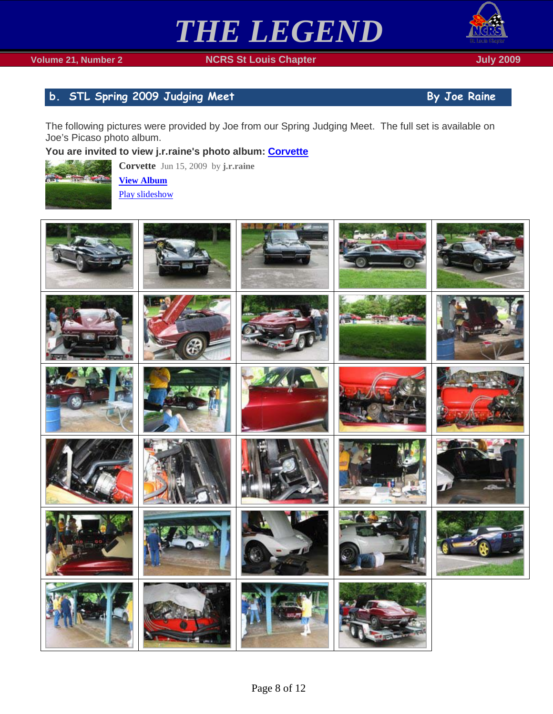

# <span id="page-7-0"></span>**b.** STL Spring 2009 Judging Meet **By Joe Raine**

The following pictures were provided by Joe from our Spring Judging Meet. The full set is available on Joe's Picaso photo album.

# **You are invited to view j.r.raine's photo album: [Corvette](http://picasaweb.google.com/lh/sredir?uname=j.r.raine&target=ALBUM&id=5347671105859238673&authkey=Gv1sRgCMzjhsbw7p6OiwE&authkey=Gv1sRgCMzjhsbw7p6OiwE&feat=email)**



**Corvette** Jun 15, 2009 by **j.r.raine [View Album](http://picasaweb.google.com/lh/sredir?uname=j.r.raine&target=ALBUM&id=5347671105859238673&authkey=Gv1sRgCMzjhsbw7p6OiwE&authkey=Gv1sRgCMzjhsbw7p6OiwE&feat=email)** [Play slideshow](http://picasaweb.google.com/lh/sredir?uname=j.r.raine&target=ALBUM&id=5347671105859238673&authkey=Gv1sRgCMzjhsbw7p6OiwE&authkey=Gv1sRgCMzjhsbw7p6OiwE&feat=email&mode=SLIDESHOW)

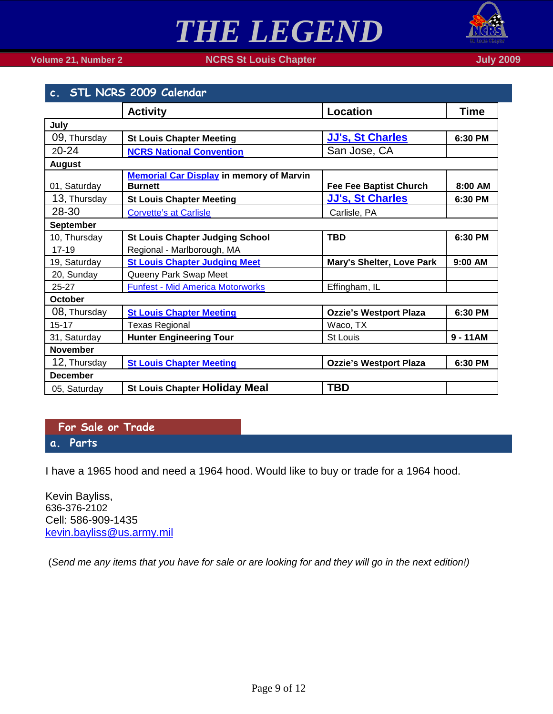

## **Volume 21, Number 2 NCRS St Louis Chapter July 2009**

<span id="page-8-0"></span>

| c. STL NCRS 2009 Calendar |                                                                   |                                  |            |
|---------------------------|-------------------------------------------------------------------|----------------------------------|------------|
|                           | <b>Activity</b>                                                   | <b>Location</b>                  | Time       |
| July                      |                                                                   |                                  |            |
| 09, Thursday              | <b>St Louis Chapter Meeting</b>                                   | <b>JJ's, St Charles</b>          | 6:30 PM    |
| $20 - 24$                 | <b>NCRS National Convention</b>                                   | San Jose, CA                     |            |
| <b>August</b>             |                                                                   |                                  |            |
| 01, Saturday              | <b>Memorial Car Display in memory of Marvin</b><br><b>Burnett</b> | <b>Fee Fee Baptist Church</b>    | 8:00 AM    |
| 13, Thursday              | <b>St Louis Chapter Meeting</b>                                   | <b>JJ's, St Charles</b>          | 6:30 PM    |
| 28-30                     | <b>Corvette's at Carlisle</b>                                     | Carlisle, PA                     |            |
| September                 |                                                                   |                                  |            |
| 10, Thursday              | <b>St Louis Chapter Judging School</b>                            | <b>TBD</b>                       | 6:30 PM    |
| $17 - 19$                 | Regional - Marlborough, MA                                        |                                  |            |
| 19, Saturday              | <b>St Louis Chapter Judging Meet</b>                              | <b>Mary's Shelter, Love Park</b> | 9:00 AM    |
| 20, Sunday                | Queeny Park Swap Meet                                             |                                  |            |
| $25 - 27$                 | <b>Funfest - Mid America Motorworks</b>                           | Effingham, IL                    |            |
| <b>October</b>            |                                                                   |                                  |            |
| 08, Thursday              | <b>St Louis Chapter Meeting</b>                                   | <b>Ozzie's Westport Plaza</b>    | 6:30 PM    |
| $15 - 17$                 | <b>Texas Regional</b>                                             | Waco, TX                         |            |
| 31, Saturday              | <b>Hunter Engineering Tour</b>                                    | <b>St Louis</b>                  | $9 - 11AM$ |
| <b>November</b>           |                                                                   |                                  |            |
| 12, Thursday              | <b>St Louis Chapter Meeting</b>                                   | <b>Ozzie's Westport Plaza</b>    | 6:30 PM    |
| <b>December</b>           |                                                                   |                                  |            |
| 05, Saturday              | <b>St Louis Chapter Holiday Meal</b>                              | <b>TBD</b>                       |            |

<span id="page-8-2"></span><span id="page-8-1"></span>**For Sale or Trade a. Parts**

I have a 1965 hood and need a 1964 hood. Would like to buy or trade for a 1964 hood.

Kevin Bayliss, 636-376-2102 Cell: 586-909-1435 [kevin.bayliss@us.army.mil](mailto:kevin.bayliss@us.army.mil)

(*Send me any items that you have for sale or are looking for and they will go in the next edition!)*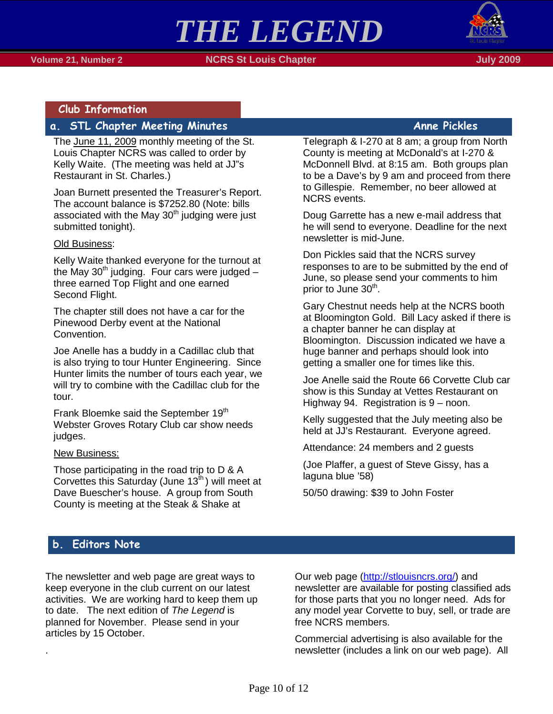

## <span id="page-9-0"></span>**Club Information**

# <span id="page-9-1"></span>**a.** STL Chapter Meeting Minutes **Anne Pickles Anne Pickles**

The June 11, 2009 monthly meeting of the St. Louis Chapter NCRS was called to order by Kelly Waite. (The meeting was held at JJ"s Restaurant in St. Charles.)

Joan Burnett presented the Treasurer's Report. The account balance is \$7252.80 (Note: bills associated with the May  $30<sup>th</sup>$  judging were just submitted tonight).

### Old Business:

Kelly Waite thanked everyone for the turnout at the May  $30<sup>th</sup>$  judging. Four cars were judged  $$ three earned Top Flight and one earned Second Flight.

The chapter still does not have a car for the Pinewood Derby event at the National Convention.

Joe Anelle has a buddy in a Cadillac club that is also trying to tour Hunter Engineering. Since Hunter limits the number of tours each year, we will try to combine with the Cadillac club for the tour.

Frank Bloemke said the September 19<sup>th</sup> Webster Groves Rotary Club car show needs judges.

### New Business:

Those participating in the road trip to D & A Corvettes this Saturday (June  $13<sup>th</sup>$ ) will meet at Dave Buescher's house. A group from South County is meeting at the Steak & Shake at

Telegraph & I-270 at 8 am; a group from North County is meeting at McDonald's at I-270 & McDonnell Blvd. at 8:15 am. Both groups plan to be a Dave's by 9 am and proceed from there to Gillespie. Remember, no beer allowed at NCRS events.

Doug Garrette has a new e-mail address that he will send to everyone. Deadline for the next newsletter is mid-June.

Don Pickles said that the NCRS survey responses to are to be submitted by the end of June, so please send your comments to him prior to June 30<sup>th</sup>.

Gary Chestnut needs help at the NCRS booth at Bloomington Gold. Bill Lacy asked if there is a chapter banner he can display at Bloomington. Discussion indicated we have a huge banner and perhaps should look into getting a smaller one for times like this.

Joe Anelle said the Route 66 Corvette Club car show is this Sunday at Vettes Restaurant on Highway 94. Registration is 9 – noon.

Kelly suggested that the July meeting also be held at JJ's Restaurant. Everyone agreed.

Attendance: 24 members and 2 guests

(Joe Plaffer, a guest of Steve Gissy, has a laguna blue '58)

50/50 drawing: \$39 to John Foster

## <span id="page-9-2"></span>**b. Editors Note**

.

The newsletter and web page are great ways to keep everyone in the club current on our latest activities. We are working hard to keep them up to date. The next edition of *The Legend* is planned for November. Please send in your articles by 15 October.

Our web page [\(http://stlouisncrs.org/\)](http://stlouisncrs.org/) and newsletter are available for posting classified ads for those parts that you no longer need. Ads for any model year Corvette to buy, sell, or trade are free NCRS members.

Commercial advertising is also available for the newsletter (includes a link on our web page). All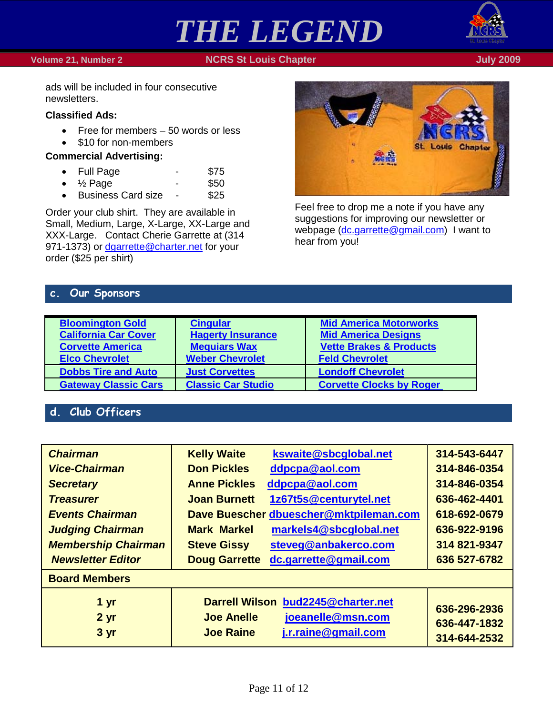### **Volume 21, Number 2 NGRS St Louis Chapter July 2009 July 2009**

# *THE LEGEND*



ads will be included in four consecutive newsletters.

### **Classified Ads:**

- Free for members 50 words or less
- \$10 for non-members

### **Commercial Advertising:**

- Full Page \$75
- $\frac{1}{2}$  Page \$50
- Business Card size \$25

Order your club shirt. They are available in Small, Medium, Large, X-Large, XX-Large and XXX-Large. Contact Cherie Garrette at (314 971-1373) or [dgarrette@charter.net](mailto:dgarrette@charter.net) for your order (\$25 per shirt)



Feel free to drop me a note if you have any suggestions for improving our newsletter or webpage [\(dc.garrette@gmail.com\)](mailto:dc.garrette@gmail.com) I want to hear from you!

## <span id="page-10-0"></span>**c. Our Sponsors**

| <b>Bloomington Gold</b><br><b>California Car Cover</b><br><b>Corvette America</b><br><b>Elco Chevrolet</b> | <b>Cingular</b><br><b>Hagerty Insurance</b><br><b>Mequiars Wax</b><br><b>Weber Chevrolet</b> | <b>Mid America Motorworks</b><br><b>Mid America Designs</b><br><b>Vette Brakes &amp; Products</b><br><b>Feld Chevrolet</b> |
|------------------------------------------------------------------------------------------------------------|----------------------------------------------------------------------------------------------|----------------------------------------------------------------------------------------------------------------------------|
| <b>Dobbs Tire and Auto</b>                                                                                 | <b>Just Corvettes</b>                                                                        | <b>Londoff Chevrolet</b>                                                                                                   |
| <b>Gateway Classic Cars</b>                                                                                | <b>Classic Car Studio</b>                                                                    | <b>Corvette Clocks by Roger</b>                                                                                            |

# <span id="page-10-1"></span>**d. Club Officers**

| <b>Chairman</b>            | <b>Kelly Waite</b>                 | kswaite@sbcglobal.net                  | 314-543-6447                 |  |  |
|----------------------------|------------------------------------|----------------------------------------|------------------------------|--|--|
| <b>Vice-Chairman</b>       | <b>Don Pickles</b>                 | ddpcpa@aol.com                         | 314-846-0354                 |  |  |
| <b>Secretary</b>           | <b>Anne Pickles</b>                | ddpcpa@aol.com                         | 314-846-0354                 |  |  |
| <b>Treasurer</b>           | <b>Joan Burnett</b>                | 1z67t5s@centurytel.net                 | 636-462-4401                 |  |  |
| <b>Events Chairman</b>     |                                    | Dave Buescher dbuescher@mktpileman.com | 618-692-0679                 |  |  |
| <b>Judging Chairman</b>    | <b>Mark Markel</b>                 | markels4@sbcglobal.net                 | 636-922-9196                 |  |  |
| <b>Membership Chairman</b> | <b>Steve Gissy</b>                 | steveg@anbakerco.com                   | 314 821-9347                 |  |  |
| <b>Newsletter Editor</b>   | <b>Doug Garrette</b>               | dc.garrette@gmail.com                  | 636 527-6782                 |  |  |
| <b>Board Members</b>       |                                    |                                        |                              |  |  |
| 1 yr                       | Darrell Wilson bud2245@charter.net |                                        |                              |  |  |
| 2 <sub>yr</sub>            | <b>Joe Anelle</b>                  | joeanelle@msn.com                      | 636-296-2936<br>636-447-1832 |  |  |
| 3 yr                       | <b>Joe Raine</b>                   | j.r.raine@gmail.com                    | 314-644-2532                 |  |  |